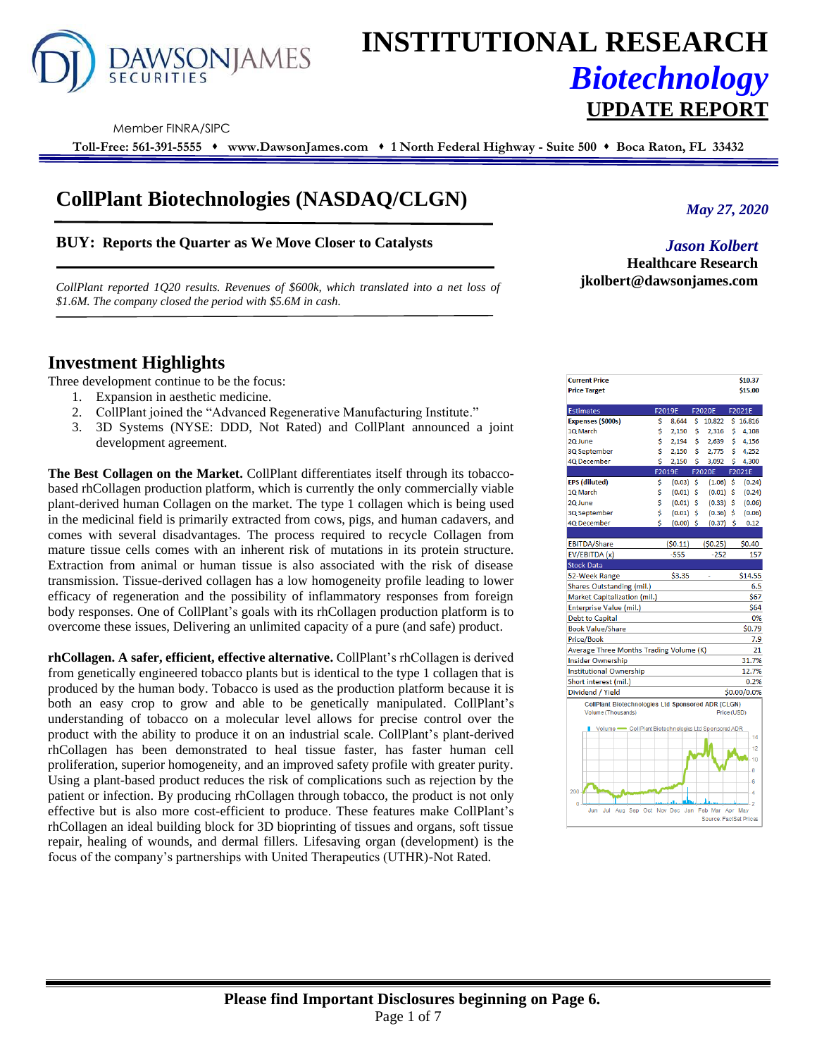

# **INSTITUTIONAL RESEARCH** *Biotechnology* **UPDATE REPORT**

Member FINRA/SIPC

**Toll-Free: 561-391-5555** ⬧ **www.DawsonJames.com** ⬧ **1 North Federal Highway - Suite 500** ⬧ **Boca Raton, FL 33432**

## **CollPlant Biotechnologies (NASDAQ/CLGN)**

**BUY: Reports the Quarter as We Move Closer to Catalysts**

*CollPlant reported 1Q20 results. Revenues of \$600k, which translated into a net loss of \$1.6M. The company closed the period with \$5.6M in cash.*

**Investment Highlights**

Three development continue to be the focus:

- 1. Expansion in aesthetic medicine.
- 2. CollPlant joined the "Advanced Regenerative Manufacturing Institute."
- 3. 3D Systems (NYSE: DDD, Not Rated) and CollPlant announced a joint development agreement.

**The Best Collagen on the Market.** CollPlant differentiates itself through its tobaccobased rhCollagen production platform, which is currently the only commercially viable plant-derived human Collagen on the market. The type 1 collagen which is being used in the medicinal field is primarily extracted from cows, pigs, and human cadavers, and comes with several disadvantages. The process required to recycle Collagen from mature tissue cells comes with an inherent risk of mutations in its protein structure. Extraction from animal or human tissue is also associated with the risk of disease transmission. Tissue-derived collagen has a low homogeneity profile leading to lower efficacy of regeneration and the possibility of inflammatory responses from foreign body responses. One of CollPlant's goals with its rhCollagen production platform is to overcome these issues, Delivering an unlimited capacity of a pure (and safe) product.

**rhCollagen. A safer, efficient, effective alternative.** CollPlant's rhCollagen is derived from genetically engineered tobacco plants but is identical to the type 1 collagen that is produced by the human body. Tobacco is used as the production platform because it is both an easy crop to grow and able to be genetically manipulated. CollPlant's understanding of tobacco on a molecular level allows for precise control over the product with the ability to produce it on an industrial scale. CollPlant's plant-derived rhCollagen has been demonstrated to heal tissue faster, has faster human cell proliferation, superior homogeneity, and an improved safety profile with greater purity. Using a plant-based product reduces the risk of complications such as rejection by the patient or infection. By producing rhCollagen through tobacco, the product is not only effective but is also more cost-efficient to produce. These features make CollPlant's rhCollagen an ideal building block for 3D bioprinting of tissues and organs, soft tissue repair, healing of wounds, and dermal fillers. Lifesaving organ (development) is the focus of the company's partnerships with United Therapeutics (UTHR)-Not Rated.

*May 27, 2020*

*Jason Kolbert* **Healthcare Research jkolbert@dawsonjames.com**

| <b>Current Price</b><br><b>Price Target</b>                                     |    |         |    |                                   |             | \$10.37<br>\$15.00 |
|---------------------------------------------------------------------------------|----|---------|----|-----------------------------------|-------------|--------------------|
| <b>Estimates</b>                                                                |    | F2019E  |    | <b>F2020E</b>                     |             | F2021E             |
| Expenses (\$000s)                                                               | \$ | 8.644   | \$ | 10,822                            | \$          | 16,816             |
| 1Q March                                                                        | \$ | 2,150   | \$ | 2,316                             | \$          | 4,108              |
| 2Q June                                                                         | \$ | 2,194   | \$ | 2,639                             | \$          | 4,156              |
| 3Q September                                                                    | Ś  | 2,150   | Ś  | 2,775                             | Ś           | 4,252              |
| 4Q December                                                                     | Ś  | 2,150   | Ś  | 3,092                             | Ś           | 4,300              |
|                                                                                 |    | F2019E  |    | <b>F2020E</b>                     |             | F2021E             |
| <b>EPS (diluted)</b>                                                            | \$ | (0.03)  | Ś  | (1.06)                            | Ś           | (0.24)             |
| 1Q March                                                                        | \$ | (0.01)  | \$ | (0.01)                            | \$          | (0.24)             |
| 2Q June                                                                         | \$ | (0.01)  | \$ | (0.33)                            | Ś           | (0.06)             |
| 3Q September                                                                    | Ś  | (0.01)  | \$ | (0.36)                            | \$          | (0.06)             |
| 4Q December                                                                     | Ś  | (0.00)  | Ś  | $(0.37)$ \$                       |             | 0.12               |
|                                                                                 |    |         |    |                                   |             |                    |
| <b>EBITDA/Share</b>                                                             |    | (50.11) |    | (50.25)                           |             | \$0.40             |
| EV/EBITDA (x)                                                                   |    | $-555$  |    | $-252$                            |             | 157                |
| <b>Stock Data</b>                                                               |    |         |    |                                   |             |                    |
| 52-Week Range                                                                   |    | \$3.35  |    |                                   |             | \$14.55<br>6.5     |
| Shares Outstanding (mil.)<br>Market Capitalization (mil.)                       |    |         |    |                                   |             |                    |
|                                                                                 |    |         |    |                                   |             | \$67<br><b>S64</b> |
| Enterprise Value (mil.)<br><b>Debt to Capital</b>                               |    |         |    |                                   |             | 0%                 |
|                                                                                 |    |         |    |                                   |             | \$0.79             |
| <b>Book Value/Share</b>                                                         |    |         |    |                                   |             |                    |
| <b>Price/Book</b>                                                               |    |         |    |                                   |             | 7.9<br>21          |
| Average Three Months Trading Volume (K)                                         |    |         |    |                                   |             |                    |
| <b>Insider Ownership</b>                                                        |    |         |    |                                   |             | 31.7%              |
| <b>Institutional Ownership</b>                                                  |    |         |    |                                   |             | 12.7%              |
| Short interest (mil.)                                                           |    |         |    |                                   |             | 0.2%               |
| Dividend / Yield                                                                |    |         |    |                                   |             | \$0.00/0.0%        |
| <b>CollPlant Biotechnologies Ltd Sponsored ADR (CLGN)</b><br>Volume (Thousands) |    |         |    |                                   | Price (USD) |                    |
| Volume - CollPlant Biotechnologies Ltd Sponsored ADR                            |    |         |    |                                   |             | 14                 |
|                                                                                 |    |         |    |                                   |             |                    |
|                                                                                 |    |         |    |                                   |             | 12                 |
|                                                                                 |    |         |    |                                   |             | 10                 |
|                                                                                 |    |         |    |                                   |             | 8                  |
|                                                                                 |    |         |    |                                   |             | 6                  |
| 200                                                                             |    |         |    |                                   |             | 4                  |
| $\overline{0}$                                                                  |    |         |    |                                   |             | $\overline{2}$     |
| Aug Sep Oct Nov Dec Jan<br>Jun<br>Jul                                           |    |         |    | Feb Mar<br>Source: FactSet Prices |             | Apr May            |
|                                                                                 |    |         |    |                                   |             |                    |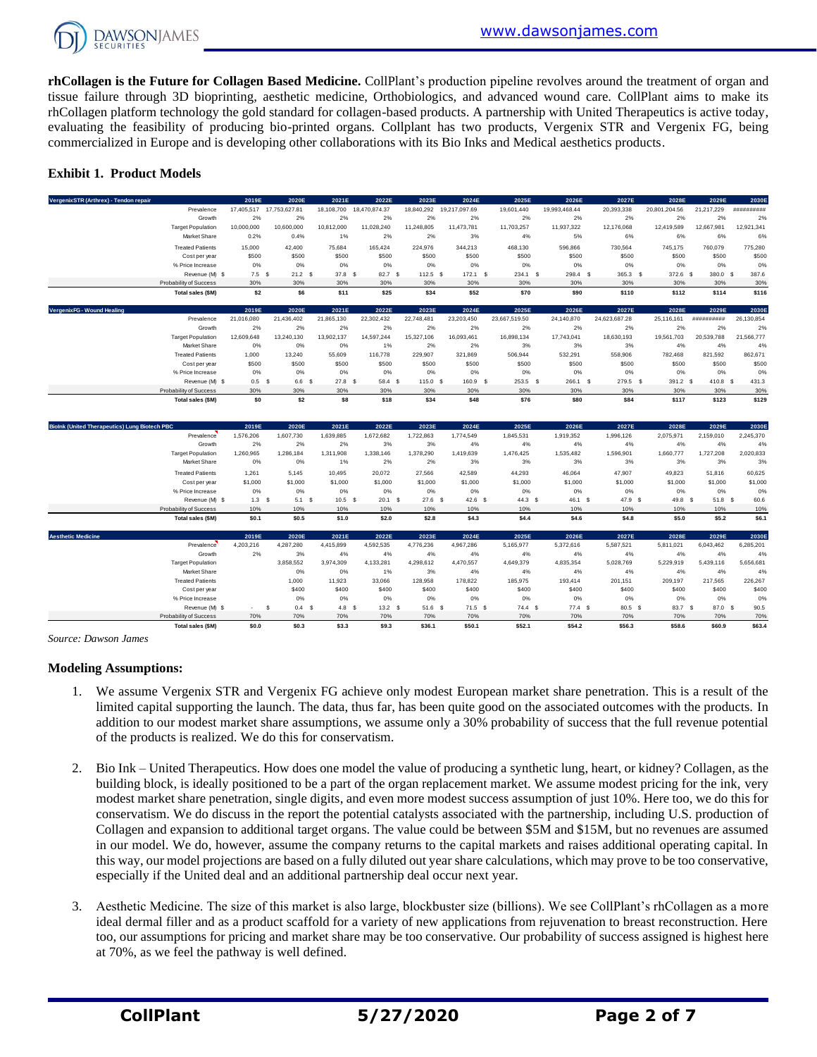

**rhCollagen is the Future for Collagen Based Medicine.** CollPlant's production pipeline revolves around the treatment of organ and tissue failure through 3D bioprinting, aesthetic medicine, Orthobiologics, and advanced wound care. CollPlant aims to make its rhCollagen platform technology the gold standard for collagen-based products. A partnership with United Therapeutics is active today, evaluating the feasibility of producing bio-printed organs. Collplant has two products, Vergenix STR and Vergenix FG, being commercialized in Europe and is developing other collaborations with its Bio Inks and Medical aesthetics products.

#### **Exhibit 1. Product Models**

| VergenixSTR (Arthrex) - Tendon repair                |                          | 2019E            | 2020E             | 2021E      | 2022E         | 2023E      | 2024E         | 2025E         | 2026E         | 2027E         | 2028E         | 2029E      | 2030E      |
|------------------------------------------------------|--------------------------|------------------|-------------------|------------|---------------|------------|---------------|---------------|---------------|---------------|---------------|------------|------------|
|                                                      | Prevalence               | 17,405,517       | 17,753,627.81     | 18,108,700 | 18,470,874.37 | 18,840,292 | 19,217,097.69 | 19,601,440    | 19,993,468.44 | 20,393,338    | 20,801,204.56 | 21,217,229 | ########## |
|                                                      | Growth                   | 2%               | 2%                | 2%         | 2%            | 2%         | 2%            | 2%            | 2%            | 2%            | 2%            | 2%         | 2%         |
|                                                      | <b>Target Population</b> | 10,000,000       | 10,600,000        | 10.812.000 | 11,028,240    | 11.248.805 | 11,473,781    | 11,703,257    | 11,937,322    | 12,176,068    | 12,419,589    | 12.667.981 | 12,921,341 |
|                                                      | Market Share             | 0.2%             | 0.4%              | 1%         | 2%            | 2%         | 3%            | 4%            | 5%            | 6%            | 6%            | 6%         | 6%         |
|                                                      | <b>Treated Patients</b>  | 15,000           | 42,400            | 75.684     | 165,424       | 224.976    | 344,213       | 468,130       | 596.866       | 730,564       | 745.175       | 760.079    | 775,280    |
|                                                      | Cost per year            | \$500            | \$500             | \$500      | \$500         | \$500      | \$500         | \$500         | \$500         | \$500         | \$500         | \$500      | \$500      |
|                                                      | % Price Increase         | 0%               | 0%                | 0%         | 0%            | 0%         | 0%            | 0%            | 0%            | 0%            | 0%            | 0%         | 0%         |
|                                                      | Revenue (M) \$           | $7.5$ \$         | 21.2 <sup>5</sup> | 37.8 \$    | 82.7 \$       | $112.5$ \$ | $172.1$ \$    | 234.1 \$      | 298.4 \$      | 365.3 \$      | $372.6$ \$    | 380.0 \$   | 387.6      |
|                                                      | Probability of Success   | 30%              | 30%               | 30%        | 30%           | 30%        | 30%           | 30%           | 30%           | 30%           | 30%           | 30%        | 30%        |
|                                                      | Total sales (\$M)        | \$2              | \$6               | \$11       | \$25          | \$34       | \$52          | \$70          | \$90          | \$110         | \$112         | \$114      | \$116      |
| VergenixFG - Wound Healing                           |                          | 2019E            | 2020E             | 2021E      | 2022E         | 2023E      | 2024E         | 2025E         | 2026E         | 2027E         | 2028E         | 2029E      | 2030E      |
|                                                      | Prevalence               | 21,016,080       | 21,436,402        | 21,865,130 | 22,302,432    | 22,748,481 | 23,203,450    | 23,667,519.50 | 24,140,870    | 24,623,687.28 | 25,116,161    | ########## | 26,130,854 |
|                                                      | Growth                   | 2%               | 2%                | 2%         | 2%            | 2%         | 2%            | 2%            | 2%            | 2%            | 2%            | 2%         | 2%         |
|                                                      | <b>Target Population</b> | 12,609,648       | 13.240.130        | 13,902,137 | 14,597,244    | 15.327.106 | 16,093,461    | 16,898,134    | 17,743,041    | 18,630,193    | 19,561,703    | 20.539.788 | 21,566,777 |
|                                                      | Market Share             | 0%               | 0%                | 0%         | 1%            | 2%         | 2%            | 3%            | 3%            | 3%            | 4%            | 4%         | 4%         |
|                                                      |                          |                  |                   |            |               |            |               |               |               |               |               |            |            |
|                                                      | <b>Treated Patients</b>  | 1,000            | 13,240            | 55,609     | 116,778       | 229,907    | 321,869       | 506,944       | 532,291       | 558,906       | 782,468       | 821,592    | 862,671    |
|                                                      | Cost per year            | \$500            | \$500             | \$500      | \$500         | \$500      | \$500         | \$500         | \$500         | \$500         | \$500         | \$500      | \$500      |
|                                                      | % Price Increase         | 0%               | 0%                | 0%         | 0%            | 0%         | 0%            | 0%            | 0%            | 0%            | 0%            | 0%         | 0%         |
|                                                      | Revenue (M) \$           | 0.5 <sup>5</sup> | 6.6 \$            | 27.8 S     | 58.4 S        | 115.0 S    | 160.9 \$      | $253.5$ \$    | 266.1 \$      | 279.5 \$      | 391.2 \$      | 410.8 S    | 431.3      |
|                                                      | Probability of Success   | 30%              | 30%               | 30%        | 30%           | 30%        | 30%           | 30%           | 30%           | 30%           | 30%           | 30%        | 30%        |
|                                                      | Total sales (\$M)        | \$0              | \$2               | \$8        | \$18          | \$34       | \$48          | \$76          | \$80          | \$84          | \$117         | \$123      | \$129      |
|                                                      |                          | 2019E            | 2020E             | 2021E      | 2022E         | 2023E      | 2024E         | 2025E         | 2026E         | 2027E         | 2028E         | 2029E      | 2030E      |
|                                                      | Prevalence               | 1,576,206        | 1,607,730         | 1,639,885  | 1,672,682     | 1,722,863  | 1,774,549     | 1,845,531     | 1,919,352     | 1,996,126     | 2,075,971     | 2,159,010  | 2,245,370  |
| <b>Biolnk (United Therapeutics) Lung Biotech PBC</b> | Growth                   | 2%               | 2%                | 2%         | 3%            | 3%         | 4%            | 4%            | 4%            | 4%            | 4%            | 4%         | 4%         |
|                                                      | <b>Target Population</b> | 1,260,965        | 1,286,184         | 1.311.908  | 1.338.146     | 1,378,290  | 1,419,639     | 1.476.425     | 1,535,482     | 1,596,901     | 1,660,777     | 1,727,208  | 2,020,833  |

|                                                      | $\sim$                 | $\sim$    | $\sim$           | .         | $\sim$    | $\sim$    | $\sim$            | <u>uu ,u</u> | $\sim$            | $\sim$    | $\sim$    | $\sim$    |
|------------------------------------------------------|------------------------|-----------|------------------|-----------|-----------|-----------|-------------------|--------------|-------------------|-----------|-----------|-----------|
| Total sales (\$M)                                    | \$0                    | \$2       | \$8              | \$18      | \$34      | \$48      | \$76              | \$80         | \$84              | \$117     | \$123     | \$129     |
|                                                      |                        |           |                  |           |           |           |                   |              |                   |           |           |           |
| <b>Biolnk (United Therapeutics) Lung Biotech PBC</b> | 2019E                  | 2020E     | 2021E            | 2022E     | 2023E     | 2024E     | 2025E             | 2026E        | 2027E             | 2028E     | 2029E     | 2030E     |
| Prevalence                                           | 1,576,206              | 1,607,730 | 1,639,885        | 1,672,682 | 1,722,863 | 1,774,549 | 1,845,531         | 1,919,352    | 1,996,126         | 2,075,971 | 2,159,010 | 2,245,370 |
| Growth                                               | 2%                     | 2%        | 2%               | 3%        | 3%        | 4%        | 4%                | 4%           | 4%                | 4%        | 4%        | 4%        |
| <b>Target Population</b>                             | 1,260,965              | 1.286.184 | 1.311.908        | 1,338,146 | 1,378,290 | 1,419,639 | 1,476,425         | 1,535,482    | 1,596,901         | 1.660.777 | 1.727.208 | 2,020,833 |
| <b>Market Share</b>                                  | 0%                     | 0%        | 1%               | 2%        | 2%        | 3%        | 3%                | 3%           | 3%                | 3%        | 3%        | 3%        |
| <b>Treated Patients</b>                              | 1.261                  | 5.145     | 10.495           | 20.072    | 27.566    | 42.589    | 44.293            | 46.064       | 47.907            | 49.823    | 51.816    | 60.625    |
| Cost per year                                        | \$1,000                | \$1,000   | \$1,000          | \$1,000   | \$1,000   | \$1,000   | \$1,000           | \$1,000      | \$1,000           | \$1,000   | \$1,000   | \$1,000   |
| % Price Increase                                     | 0%                     | 0%        | 0%               | 0%        | 0%        | 0%        | 0%                | 0%           | 0%                | 0%        | 0%        | 0%        |
| Revenue (M) \$                                       | 1.3 <sup>5</sup>       | 5.1 S     | $10.5-5$         | 20.1 S    | $27.6$ \$ | $42.6$ \$ | 44.3 <sup>5</sup> | 46.1 S       | 47.9 <sup>5</sup> | 49.8 \$   | 51.8 S    | 60.6      |
| Probability of Success                               | 10%                    | 10%       | 10%              | 10%       | 10%       | 10%       | 10%               | 10%          | 10%               | 10%       | 10%       | 10%       |
| Total sales (\$M)                                    | \$0.1                  | \$0.5     | \$1.0            | \$2.0     | \$2.8     | \$4.3     | \$4.4             | \$4.6        | \$4.8             | \$5.0     | \$5.2     | \$6.1     |
|                                                      |                        |           |                  |           |           |           |                   |              |                   |           |           |           |
| <b>Aesthetic Medicine</b>                            | 2019E                  | 2020E     | 2021E            | 2022E     | 2023E     | 2024E     | 2025E             | 2026E        | 2027E             | 2028E     | 2029E     | 2030E     |
| Prevalence                                           | 4,203,216              | 4,287,280 | 4,415,899        | 4,592,535 | 4,776,236 | 4,967,286 | 5,165,977         | 5,372,616    | 5,587,521         | 5,811,021 | 6,043,462 | 6,285,201 |
| Growth                                               | 2%                     | 3%        | 4%               | 4%        | 4%        | 4%        | 4%                | 4%           | 4%                | 4%        | 4%        | 4%        |
| <b>Target Population</b>                             |                        | 3,858,552 | 3,974,309        | 4,133,281 | 4,298,612 | 4,470,557 | 4,649,379         | 4,835,354    | 5,028,769         | 5,229,919 | 5,439,116 | 5,656,681 |
| Market Share                                         |                        | 0%        | 0%               | 1%        | 3%        | 4%        | 4%                | 4%           | 4%                | 4%        | 4%        | 4%        |
| <b>Treated Patients</b>                              |                        | 1.000     | 11.923           | 33,066    | 128,958   | 178,822   | 185,975           | 193.414      | 201,151           | 209.197   | 217.565   | 226,267   |
| Cost per year                                        |                        | \$400     | \$400            | \$400     | \$400     | \$400     | \$400             | \$400        | \$400             | \$400     | \$400     | \$400     |
| % Price Increase                                     |                        | 0%        | 0%               | 0%        | 0%        | 0%        | 0%                | 0%           | 0%                | 0%        | 0%        | 0%        |
| Revenue (M) \$                                       | $\mathbf{s}$<br>$\sim$ | $0.4-5$   | 4.8 <sup>5</sup> | 13.2 S    | $51.6$ \$ | $71.5$ \$ | $74.4$ \$         | $77.4$ \$    | 80.5 \$           | 83.7 \$   | 87.0 \$   | 90.5      |
| Probability of Success                               | 70%                    | 70%       | 70%              | 70%       | 70%       | 70%       | 70%               | 70%          | 70%               | 70%       | 70%       | 70%       |
| Total sales (\$M)                                    | \$0.0                  | \$0.3     | \$3.3            | \$9.3     | \$36.1    | \$50.1    | \$52.1            | \$54.2       | \$56.3            | \$58.6    | \$60.9    | \$63.4    |

*Source: Dawson James*

#### **Modeling Assumptions:**

- 1. We assume Vergenix STR and Vergenix FG achieve only modest European market share penetration. This is a result of the limited capital supporting the launch. The data, thus far, has been quite good on the associated outcomes with the products. In addition to our modest market share assumptions, we assume only a 30% probability of success that the full revenue potential of the products is realized. We do this for conservatism.
- 2. Bio Ink United Therapeutics. How does one model the value of producing a synthetic lung, heart, or kidney? Collagen, as the building block, is ideally positioned to be a part of the organ replacement market. We assume modest pricing for the ink, very modest market share penetration, single digits, and even more modest success assumption of just 10%. Here too, we do this for conservatism. We do discuss in the report the potential catalysts associated with the partnership, including U.S. production of Collagen and expansion to additional target organs. The value could be between \$5M and \$15M, but no revenues are assumed in our model. We do, however, assume the company returns to the capital markets and raises additional operating capital. In this way, our model projections are based on a fully diluted out year share calculations, which may prove to be too conservative, especially if the United deal and an additional partnership deal occur next year.
- 3. Aesthetic Medicine. The size of this market is also large, blockbuster size (billions). We see CollPlant's rhCollagen as a more ideal dermal filler and as a product scaffold for a variety of new applications from rejuvenation to breast reconstruction. Here too, our assumptions for pricing and market share may be too conservative. Our probability of success assigned is highest here at 70%, as we feel the pathway is well defined.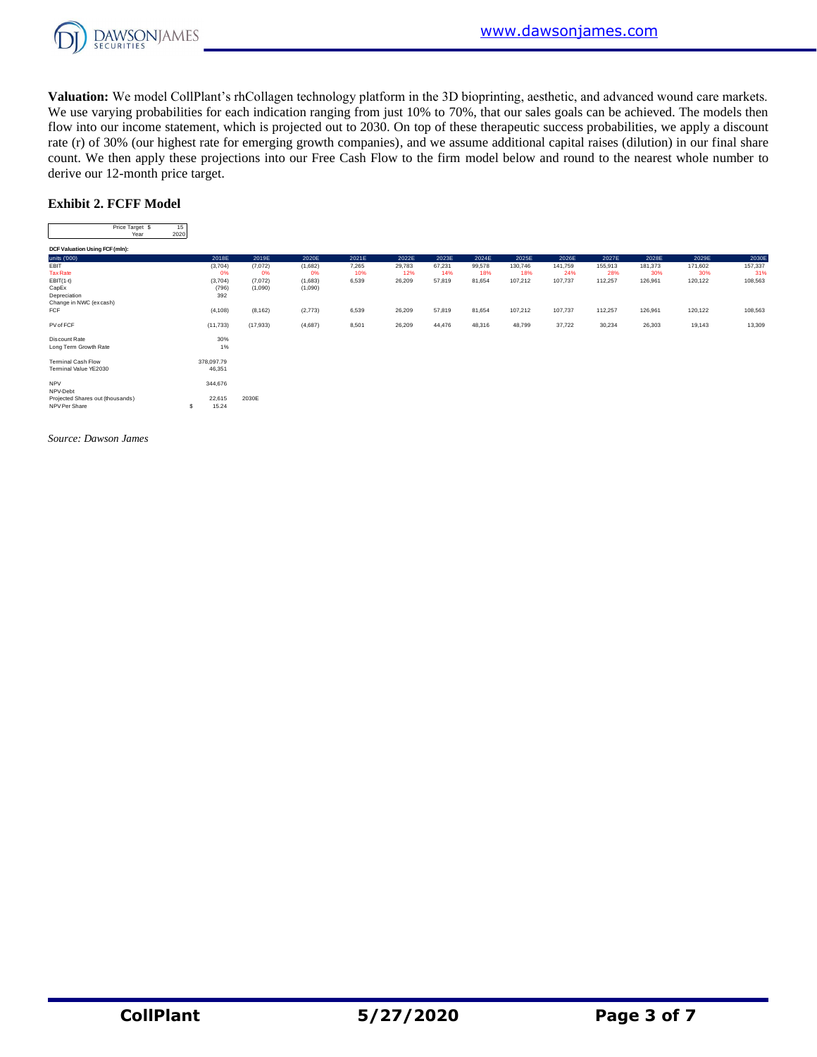

**Valuation:** We model CollPlant's rhCollagen technology platform in the 3D bioprinting, aesthetic, and advanced wound care markets. We use varying probabilities for each indication ranging from just 10% to 70%, that our sales goals can be achieved. The models then flow into our income statement, which is projected out to 2030. On top of these therapeutic success probabilities, we apply a discount rate (r) of 30% (our highest rate for emerging growth companies), and we assume additional capital raises (dilution) in our final share count. We then apply these projections into our Free Cash Flow to the firm model below and round to the nearest whole number to derive our 12-month price target. nen apply the:<br>2-month price<br>Price Target \$ 15<br>Price Target \$ 15<br>Vear 2020

#### **Exhibit 2. FCFF Model**

| EXMIDIU 2. FUFF MODEL            |            |            |           |                                                                                                                           |          |                                                                                                                                                                                                                                                                                                                                                                                                                                                                            |                                                                                                                                                                                                                                                                                                                                                                                                                                                                            |                   |                                                                                                                                                                                                                                                                                                                                                                                                                                                                            |          |                                                                                                                                                                                                                                                                                                                                                                                                                                                                            |          |                                                                                                                                                                                                                                                                                                                                                                                                                                                                            |                      |
|----------------------------------|------------|------------|-----------|---------------------------------------------------------------------------------------------------------------------------|----------|----------------------------------------------------------------------------------------------------------------------------------------------------------------------------------------------------------------------------------------------------------------------------------------------------------------------------------------------------------------------------------------------------------------------------------------------------------------------------|----------------------------------------------------------------------------------------------------------------------------------------------------------------------------------------------------------------------------------------------------------------------------------------------------------------------------------------------------------------------------------------------------------------------------------------------------------------------------|-------------------|----------------------------------------------------------------------------------------------------------------------------------------------------------------------------------------------------------------------------------------------------------------------------------------------------------------------------------------------------------------------------------------------------------------------------------------------------------------------------|----------|----------------------------------------------------------------------------------------------------------------------------------------------------------------------------------------------------------------------------------------------------------------------------------------------------------------------------------------------------------------------------------------------------------------------------------------------------------------------------|----------|----------------------------------------------------------------------------------------------------------------------------------------------------------------------------------------------------------------------------------------------------------------------------------------------------------------------------------------------------------------------------------------------------------------------------------------------------------------------------|----------------------|
| Price Target \$<br>Year          | 15<br>2020 |            |           |                                                                                                                           |          |                                                                                                                                                                                                                                                                                                                                                                                                                                                                            |                                                                                                                                                                                                                                                                                                                                                                                                                                                                            |                   |                                                                                                                                                                                                                                                                                                                                                                                                                                                                            |          |                                                                                                                                                                                                                                                                                                                                                                                                                                                                            |          |                                                                                                                                                                                                                                                                                                                                                                                                                                                                            |                      |
| DCF Valuation Using FCF (mln):   |            | $\cdots$   | $\cdots$  | $\frac{1}{2} \left( \frac{1}{2} \right) \left( \frac{1}{2} \right) \left( \frac{1}{2} \right) \left( \frac{1}{2} \right)$ | $\cdots$ | $\frac{1}{2} \left( \frac{1}{2} \right) \left( \frac{1}{2} \right) \left( \frac{1}{2} \right) \left( \frac{1}{2} \right) \left( \frac{1}{2} \right) \left( \frac{1}{2} \right) \left( \frac{1}{2} \right) \left( \frac{1}{2} \right) \left( \frac{1}{2} \right) \left( \frac{1}{2} \right) \left( \frac{1}{2} \right) \left( \frac{1}{2} \right) \left( \frac{1}{2} \right) \left( \frac{1}{2} \right) \left( \frac{1}{2} \right) \left( \frac{1}{2} \right) \left( \frac$ | $\frac{1}{2} \left( \frac{1}{2} \right) \left( \frac{1}{2} \right) \left( \frac{1}{2} \right) \left( \frac{1}{2} \right) \left( \frac{1}{2} \right) \left( \frac{1}{2} \right) \left( \frac{1}{2} \right) \left( \frac{1}{2} \right) \left( \frac{1}{2} \right) \left( \frac{1}{2} \right) \left( \frac{1}{2} \right) \left( \frac{1}{2} \right) \left( \frac{1}{2} \right) \left( \frac{1}{2} \right) \left( \frac{1}{2} \right) \left( \frac{1}{2} \right) \left( \frac$ | <b>CONTRACTOR</b> | $\frac{1}{2} \left( \frac{1}{2} \right) \left( \frac{1}{2} \right) \left( \frac{1}{2} \right) \left( \frac{1}{2} \right) \left( \frac{1}{2} \right) \left( \frac{1}{2} \right) \left( \frac{1}{2} \right) \left( \frac{1}{2} \right) \left( \frac{1}{2} \right) \left( \frac{1}{2} \right) \left( \frac{1}{2} \right) \left( \frac{1}{2} \right) \left( \frac{1}{2} \right) \left( \frac{1}{2} \right) \left( \frac{1}{2} \right) \left( \frac{1}{2} \right) \left( \frac$ | $\cdots$ | $\frac{1}{2} \left( \frac{1}{2} \right) \left( \frac{1}{2} \right) \left( \frac{1}{2} \right) \left( \frac{1}{2} \right) \left( \frac{1}{2} \right) \left( \frac{1}{2} \right) \left( \frac{1}{2} \right) \left( \frac{1}{2} \right) \left( \frac{1}{2} \right) \left( \frac{1}{2} \right) \left( \frac{1}{2} \right) \left( \frac{1}{2} \right) \left( \frac{1}{2} \right) \left( \frac{1}{2} \right) \left( \frac{1}{2} \right) \left( \frac{1}{2} \right) \left( \frac$ | $\cdots$ | $\frac{1}{2} \left( \frac{1}{2} \right) \left( \frac{1}{2} \right) \left( \frac{1}{2} \right) \left( \frac{1}{2} \right) \left( \frac{1}{2} \right) \left( \frac{1}{2} \right) \left( \frac{1}{2} \right) \left( \frac{1}{2} \right) \left( \frac{1}{2} \right) \left( \frac{1}{2} \right) \left( \frac{1}{2} \right) \left( \frac{1}{2} \right) \left( \frac{1}{2} \right) \left( \frac{1}{2} \right) \left( \frac{1}{2} \right) \left( \frac{1}{2} \right) \left( \frac$ |                      |
| units ('000)                     |            | 2018E      | 2019E     | 2020E                                                                                                                     | 2021E    | 2022E                                                                                                                                                                                                                                                                                                                                                                                                                                                                      | 2023E                                                                                                                                                                                                                                                                                                                                                                                                                                                                      | 2024E             | 2025E                                                                                                                                                                                                                                                                                                                                                                                                                                                                      | 2026E    | 2027E                                                                                                                                                                                                                                                                                                                                                                                                                                                                      | 2028E    | 2029E                                                                                                                                                                                                                                                                                                                                                                                                                                                                      | $- - - - -$<br>2030E |
| EBIT                             |            | (3,704)    | (7,072)   | (1,682)                                                                                                                   | 7,265    | 29,783                                                                                                                                                                                                                                                                                                                                                                                                                                                                     | 67,231                                                                                                                                                                                                                                                                                                                                                                                                                                                                     | 99,578            | 130,746                                                                                                                                                                                                                                                                                                                                                                                                                                                                    | 141,759  | 155,913                                                                                                                                                                                                                                                                                                                                                                                                                                                                    | 181,373  | 171,602                                                                                                                                                                                                                                                                                                                                                                                                                                                                    | 157,337              |
| <b>Tax Rate</b>                  |            | 0%         | 0%        | 0%                                                                                                                        | 10%      | 12%                                                                                                                                                                                                                                                                                                                                                                                                                                                                        | 14%                                                                                                                                                                                                                                                                                                                                                                                                                                                                        | 18%               | 18%                                                                                                                                                                                                                                                                                                                                                                                                                                                                        | 24%      | 28%                                                                                                                                                                                                                                                                                                                                                                                                                                                                        | 30%      | 30%                                                                                                                                                                                                                                                                                                                                                                                                                                                                        | 31%                  |
| $EBIT(1-t)$                      |            | (3,704)    | (7,072)   | (1,683)                                                                                                                   | 6,539    | 26,209                                                                                                                                                                                                                                                                                                                                                                                                                                                                     | 57,819                                                                                                                                                                                                                                                                                                                                                                                                                                                                     | 81,654            | 107,212                                                                                                                                                                                                                                                                                                                                                                                                                                                                    | 107,737  | 112,257                                                                                                                                                                                                                                                                                                                                                                                                                                                                    | 126,961  | 120,122                                                                                                                                                                                                                                                                                                                                                                                                                                                                    | 108,563              |
| CapEx                            |            | (796)      | (1,090)   | (1,090)                                                                                                                   |          |                                                                                                                                                                                                                                                                                                                                                                                                                                                                            |                                                                                                                                                                                                                                                                                                                                                                                                                                                                            |                   |                                                                                                                                                                                                                                                                                                                                                                                                                                                                            |          |                                                                                                                                                                                                                                                                                                                                                                                                                                                                            |          |                                                                                                                                                                                                                                                                                                                                                                                                                                                                            |                      |
| Depreciation                     |            | 392        |           |                                                                                                                           |          |                                                                                                                                                                                                                                                                                                                                                                                                                                                                            |                                                                                                                                                                                                                                                                                                                                                                                                                                                                            |                   |                                                                                                                                                                                                                                                                                                                                                                                                                                                                            |          |                                                                                                                                                                                                                                                                                                                                                                                                                                                                            |          |                                                                                                                                                                                                                                                                                                                                                                                                                                                                            |                      |
| Change in NWC (excash)           |            |            |           |                                                                                                                           |          |                                                                                                                                                                                                                                                                                                                                                                                                                                                                            |                                                                                                                                                                                                                                                                                                                                                                                                                                                                            |                   |                                                                                                                                                                                                                                                                                                                                                                                                                                                                            |          |                                                                                                                                                                                                                                                                                                                                                                                                                                                                            |          |                                                                                                                                                                                                                                                                                                                                                                                                                                                                            |                      |
| FCF                              |            | (4, 108)   | (8, 162)  | (2,773)                                                                                                                   | 6,539    | 26,209                                                                                                                                                                                                                                                                                                                                                                                                                                                                     | 57,819                                                                                                                                                                                                                                                                                                                                                                                                                                                                     | 81,654            | 107,212                                                                                                                                                                                                                                                                                                                                                                                                                                                                    | 107,737  | 112,257                                                                                                                                                                                                                                                                                                                                                                                                                                                                    | 126,961  | 120,122                                                                                                                                                                                                                                                                                                                                                                                                                                                                    | 108,563              |
| PV of FCF                        |            | (11, 733)  | (17, 933) | (4,687)                                                                                                                   | 8,501    | 26,209                                                                                                                                                                                                                                                                                                                                                                                                                                                                     | 44,476                                                                                                                                                                                                                                                                                                                                                                                                                                                                     | 48,316            | 48,799                                                                                                                                                                                                                                                                                                                                                                                                                                                                     | 37,722   | 30,234                                                                                                                                                                                                                                                                                                                                                                                                                                                                     | 26,303   | 19,143                                                                                                                                                                                                                                                                                                                                                                                                                                                                     | 13,309               |
| Discount Rate                    |            | 30%        |           |                                                                                                                           |          |                                                                                                                                                                                                                                                                                                                                                                                                                                                                            |                                                                                                                                                                                                                                                                                                                                                                                                                                                                            |                   |                                                                                                                                                                                                                                                                                                                                                                                                                                                                            |          |                                                                                                                                                                                                                                                                                                                                                                                                                                                                            |          |                                                                                                                                                                                                                                                                                                                                                                                                                                                                            |                      |
| Long Term Growth Rate            |            | 1%         |           |                                                                                                                           |          |                                                                                                                                                                                                                                                                                                                                                                                                                                                                            |                                                                                                                                                                                                                                                                                                                                                                                                                                                                            |                   |                                                                                                                                                                                                                                                                                                                                                                                                                                                                            |          |                                                                                                                                                                                                                                                                                                                                                                                                                                                                            |          |                                                                                                                                                                                                                                                                                                                                                                                                                                                                            |                      |
| <b>Terminal Cash Flow</b>        |            | 378,097.79 |           |                                                                                                                           |          |                                                                                                                                                                                                                                                                                                                                                                                                                                                                            |                                                                                                                                                                                                                                                                                                                                                                                                                                                                            |                   |                                                                                                                                                                                                                                                                                                                                                                                                                                                                            |          |                                                                                                                                                                                                                                                                                                                                                                                                                                                                            |          |                                                                                                                                                                                                                                                                                                                                                                                                                                                                            |                      |
| Terminal Value YE2030            |            | 46,351     |           |                                                                                                                           |          |                                                                                                                                                                                                                                                                                                                                                                                                                                                                            |                                                                                                                                                                                                                                                                                                                                                                                                                                                                            |                   |                                                                                                                                                                                                                                                                                                                                                                                                                                                                            |          |                                                                                                                                                                                                                                                                                                                                                                                                                                                                            |          |                                                                                                                                                                                                                                                                                                                                                                                                                                                                            |                      |
| <b>NPV</b><br>NPV-Debt           |            | 344,676    |           |                                                                                                                           |          |                                                                                                                                                                                                                                                                                                                                                                                                                                                                            |                                                                                                                                                                                                                                                                                                                                                                                                                                                                            |                   |                                                                                                                                                                                                                                                                                                                                                                                                                                                                            |          |                                                                                                                                                                                                                                                                                                                                                                                                                                                                            |          |                                                                                                                                                                                                                                                                                                                                                                                                                                                                            |                      |
| Projected Shares out (thousands) |            | 22,615     | 2030E     |                                                                                                                           |          |                                                                                                                                                                                                                                                                                                                                                                                                                                                                            |                                                                                                                                                                                                                                                                                                                                                                                                                                                                            |                   |                                                                                                                                                                                                                                                                                                                                                                                                                                                                            |          |                                                                                                                                                                                                                                                                                                                                                                                                                                                                            |          |                                                                                                                                                                                                                                                                                                                                                                                                                                                                            |                      |
| NPV Per Share                    | s          | 15.24      |           |                                                                                                                           |          |                                                                                                                                                                                                                                                                                                                                                                                                                                                                            |                                                                                                                                                                                                                                                                                                                                                                                                                                                                            |                   |                                                                                                                                                                                                                                                                                                                                                                                                                                                                            |          |                                                                                                                                                                                                                                                                                                                                                                                                                                                                            |          |                                                                                                                                                                                                                                                                                                                                                                                                                                                                            |                      |

*Source: Dawson James*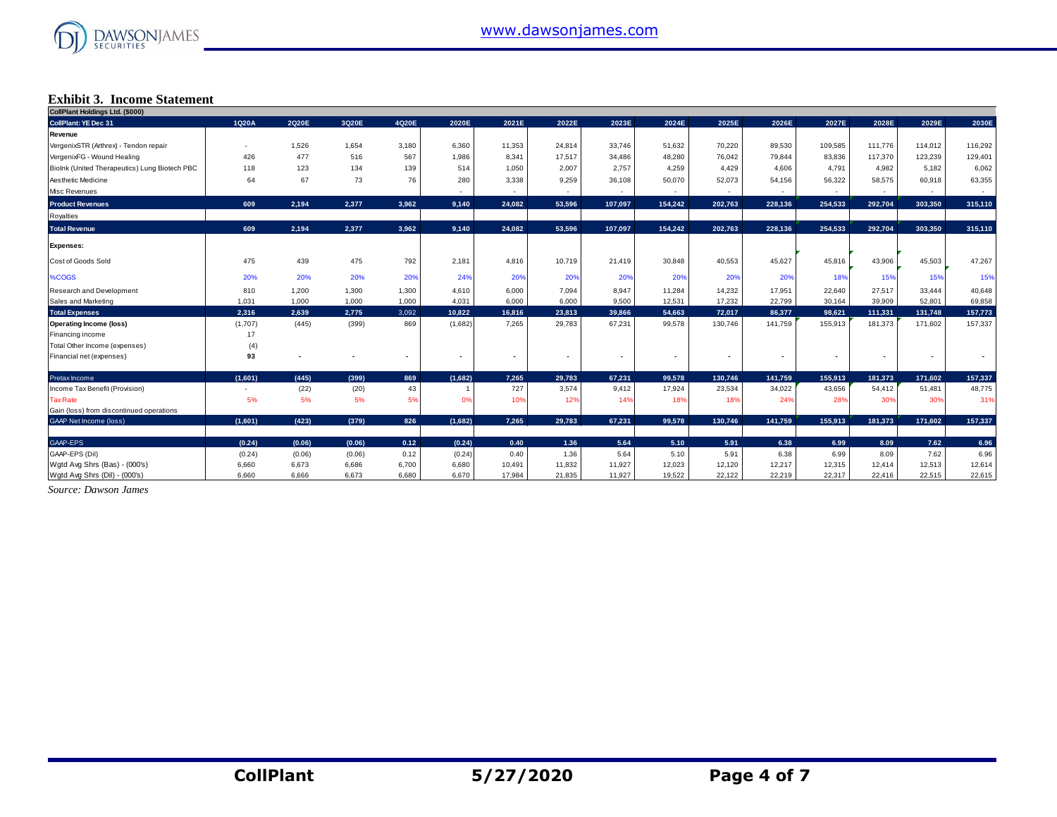

### **Exhibit 3. Income Statement**

| <b>Exhibit 3. Income Statement</b>            |                          |        |        |       |                |        |        |         |                |         |         |         |         |         |         |
|-----------------------------------------------|--------------------------|--------|--------|-------|----------------|--------|--------|---------|----------------|---------|---------|---------|---------|---------|---------|
| CollPlant Holdings Ltd. (\$000)               |                          |        |        |       |                |        |        |         |                |         |         |         |         |         |         |
| <b>CollPlant: YE Dec 31</b>                   | 1Q20A                    | 2Q20E  | 3Q20E  | 4Q20E | 2020E          | 2021E  | 2022E  | 2023E   | 2024E          | 2025E   | 2026E   | 2027E   | 2028E   | 2029E   | 2030E   |
| <b>Revenue</b>                                |                          |        |        |       |                |        |        |         |                |         |         |         |         |         |         |
| VergenixSTR (Arthrex) - Tendon repair         | $\overline{\phantom{a}}$ | 1,526  | 1,654  | 3,180 | 6,360          | 11,353 | 24,814 | 33.746  | 51,632         | 70,220  | 89,530  | 109,585 | 111,776 | 114,012 | 116,292 |
| VergenixFG - Wound Healing                    | 426                      | 477    | 516    | 567   | 1,986          | 8.341  | 17.517 | 34,486  | 48,280         | 76,042  | 79,844  | 83,836  | 117,370 | 123,239 | 129,401 |
| Biolnk (United Therapeutics) Lung Biotech PBC | 118                      | 123    | 134    | 139   | 514            | 1,050  | 2,007  | 2.757   | 4.259          | 4,429   | 4.606   | 4.791   | 4,982   | 5,182   | 6,062   |
| Aesthetic Medicine                            | 64                       | 67     | 73     | 76    | 280            | 3,338  | 9,259  | 36,108  | 50,070         | 52,073  | 54,156  | 56,322  | 58,575  | 60,918  | 63,355  |
| Misc Revenues                                 |                          |        |        |       |                |        |        |         | $\sim$         |         |         |         |         |         | $\sim$  |
| <b>Product Revenues</b>                       | 609                      | 2,194  | 2,377  | 3.962 | 9,140          | 24.082 | 53.596 | 107.097 | 154.242        | 202.763 | 228.136 | 254.533 | 292.704 | 303.350 | 315,110 |
| Royalties                                     |                          |        |        |       |                |        |        |         |                |         |         |         |         |         |         |
| <b>Total Revenue</b>                          | 609                      | 2.194  | 2.377  | 3.962 | 9,140          | 24.082 | 53.596 | 107.097 | 154.242        | 202.763 | 228.136 | 254,533 | 292.704 | 303.350 | 315,110 |
| <b>Expenses:</b>                              |                          |        |        |       |                |        |        |         |                |         |         |         |         |         |         |
| Cost of Goods Sold                            | 475                      | 439    | 475    | 792   | 2,181          | 4,816  | 10,719 | 21,419  | 30,848         | 40,553  | 45,627  | 45,816  | 43,906  | 45,503  | 47,267  |
| %COGS                                         | 20%                      | 20%    | 20%    | 20%   | 24%            | 20%    | 20%    | 20%     | 20%            | 20%     | 20%     | 18%     | 15%     | 15%     | 15%     |
| Research and Development                      | 810                      | 1,200  | 1,300  | 1,300 | 4,610          | 6,000  | 7.094  | 8.947   | 11,284         | 14,232  | 17,951  | 22,640  | 27,517  | 33,444  | 40,648  |
| Sales and Marketing                           | 1.031                    | 1.000  | 1,000  | 1,000 | 4,031          | 6.000  | 6.000  | 9,500   | 12.531         | 17,232  | 22.799  | 30,164  | 39,909  | 52,801  | 69,858  |
| <b>Total Expenses</b>                         | 2,316                    | 2,639  | 2,775  | 3,092 | 10,822         | 16,816 | 23,813 | 39.866  | 54.663         | 72,017  | 86,377  | 98,621  | 111,331 | 131,748 | 157,773 |
| <b>Operating Income (loss)</b>                | (1,707)                  | (445)  | (399)  | 869   | (1,682)        | 7,265  | 29,783 | 67,231  | 99,578         | 130,746 | 141,759 | 155,913 | 181,373 | 171,602 | 157,337 |
| Financing income                              | 17                       |        |        |       |                |        |        |         |                |         |         |         |         |         |         |
| Total Other Income (expenses)                 | (4)                      |        |        |       |                |        |        |         |                |         |         |         |         |         |         |
| Financial net (expenses)                      | 93                       |        |        |       | $\blacksquare$ |        |        | ٠       | $\blacksquare$ |         |         |         |         |         |         |
| Pretax Income                                 | (1,601)                  | (445)  | (399)  | 869   | (1,682)        | 7.265  | 29.783 | 67.231  | 99.578         | 130,746 | 141,759 | 155,913 | 181,373 | 171,602 | 157,337 |
| Income Tax Benefit (Provision)                | $\overline{\phantom{a}}$ | (22)   | (20)   | 43    | $\overline{1}$ | 727    | 3,574  | 9,412   | 17,924         | 23,534  | 34,022  | 43,656  | 54,412  | 51,481  | 48,775  |
| <b>Tax Rate</b>                               | 5%                       | 5%     | 5%     | 5%    | 0%             | 10%    | 12%    | 14%     | 18%            | 18%     | 24%     | 28%     | 30%     | 30%     | 31%     |
| Gain (loss) from discontinued operations      |                          |        |        |       |                |        |        |         |                |         |         |         |         |         |         |
| <b>GAAP Net Income (loss)</b>                 | (1,601)                  | (423)  | (379)  | 826   | (1,682)        | 7.265  | 29,783 | 67.231  | 99.578         | 130.746 | 141,759 | 155.913 | 181,373 | 171.602 | 157,337 |
| GAAP-EPS                                      | (0.24)                   | (0.06) | (0.06) | 0.12  | (0.24)         | 0.40   | 1.36   | 5.64    | 5.10           | 5.91    | 6.38    | 6.99    | 8.09    | 7.62    | 6.96    |
| GAAP-EPS (Dil)                                | (0.24)                   | (0.06) | (0.06) | 0.12  | (0.24)         | 0.40   | 1.36   | 5.64    | 5.10           | 5.91    | 6.38    | 6.99    | 8.09    | 7.62    | 6.96    |
| Wgtd Avg Shrs (Bas) - (000's)                 | 6.660                    | 6.673  | 6,686  | 6,700 | 6,680          | 10,491 | 11.832 | 11.927  | 12.023         | 12,120  | 12,217  | 12,315  | 12.414  | 12,513  | 12,614  |
| Wgtd Avg Shrs (Dil) - (000's)                 | 6.660                    | 6.666  | 6.673  | 6,680 | 6.670          | 17,984 | 21,835 | 11,927  | 19,522         | 22,122  | 22.219  | 22,317  | 22,416  | 22.515  | 22,615  |

*Source: Dawson James*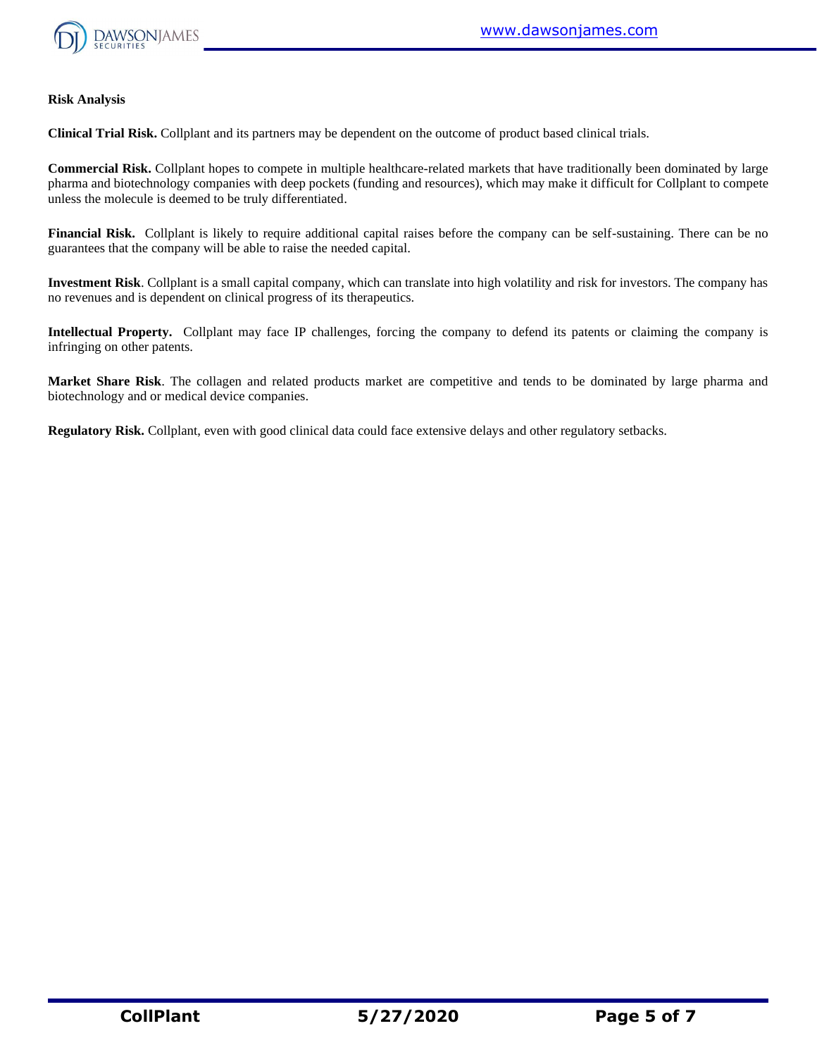

#### **Risk Analysis**

**Clinical Trial Risk.** Collplant and its partners may be dependent on the outcome of product based clinical trials.

**Commercial Risk.** Collplant hopes to compete in multiple healthcare-related markets that have traditionally been dominated by large pharma and biotechnology companies with deep pockets (funding and resources), which may make it difficult for Collplant to compete unless the molecule is deemed to be truly differentiated.

**Financial Risk.** Collplant is likely to require additional capital raises before the company can be self-sustaining. There can be no guarantees that the company will be able to raise the needed capital.

**Investment Risk**. Collplant is a small capital company, which can translate into high volatility and risk for investors. The company has no revenues and is dependent on clinical progress of its therapeutics.

**Intellectual Property.** Collplant may face IP challenges, forcing the company to defend its patents or claiming the company is infringing on other patents.

**Market Share Risk**. The collagen and related products market are competitive and tends to be dominated by large pharma and biotechnology and or medical device companies.

**Regulatory Risk.** Collplant, even with good clinical data could face extensive delays and other regulatory setbacks.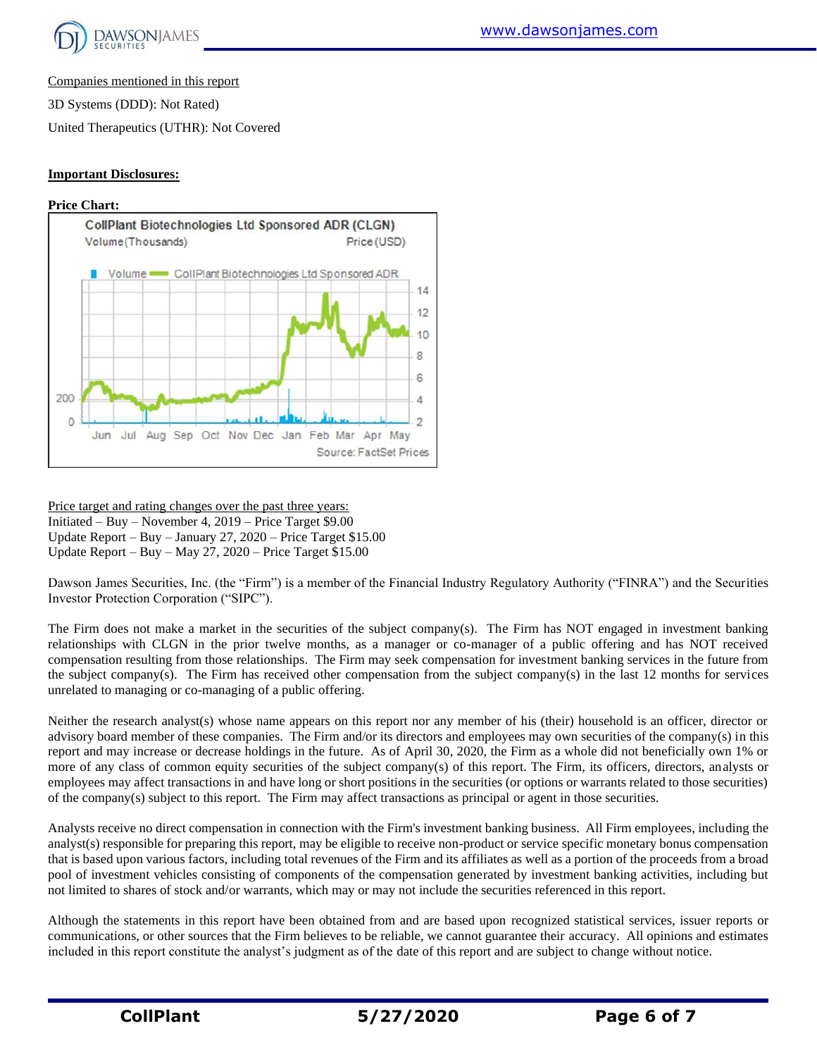

Companies mentioned in this report

3D Systems (DDD): Not Rated)

United Therapeutics (UTHR): Not Covered

#### **Important Disclosures:**





Price target and rating changes over the past three years: Initiated – Buy – November 4, 2019 – Price Target \$9.00 Update Report – Buy – January 27, 2020 – Price Target \$15.00 Update Report – Buy – May 27, 2020 – Price Target \$15.00

Dawson James Securities, Inc. (the "Firm") is a member of the Financial Industry Regulatory Authority ("FINRA") and the Securities Investor Protection Corporation ("SIPC").

The Firm does not make a market in the securities of the subject company(s). The Firm has NOT engaged in investment banking relationships with CLGN in the prior twelve months, as a manager or co-manager of a public offering and has NOT received compensation resulting from those relationships. The Firm may seek compensation for investment banking services in the future from the subject company(s). The Firm has received other compensation from the subject company(s) in the last 12 months for services unrelated to managing or co-managing of a public offering.

Neither the research analyst(s) whose name appears on this report nor any member of his (their) household is an officer, director or advisory board member of these companies. The Firm and/or its directors and employees may own securities of the company(s) in this report and may increase or decrease holdings in the future. As of April 30, 2020, the Firm as a whole did not beneficially own 1% or more of any class of common equity securities of the subject company(s) of this report. The Firm, its officers, directors, analysts or employees may affect transactions in and have long or short positions in the securities (or options or warrants related to those securities) of the company(s) subject to this report. The Firm may affect transactions as principal or agent in those securities.

Analysts receive no direct compensation in connection with the Firm's investment banking business. All Firm employees, including the analyst(s) responsible for preparing this report, may be eligible to receive non-product or service specific monetary bonus compensation that is based upon various factors, including total revenues of the Firm and its affiliates as well as a portion of the proceeds from a broad pool of investment vehicles consisting of components of the compensation generated by investment banking activities, including but not limited to shares of stock and/or warrants, which may or may not include the securities referenced in this report.

Although the statements in this report have been obtained from and are based upon recognized statistical services, issuer reports or communications, or other sources that the Firm believes to be reliable, we cannot guarantee their accuracy. All opinions and estimates included in this report constitute the analyst's judgment as of the date of this report and are subject to change without notice.